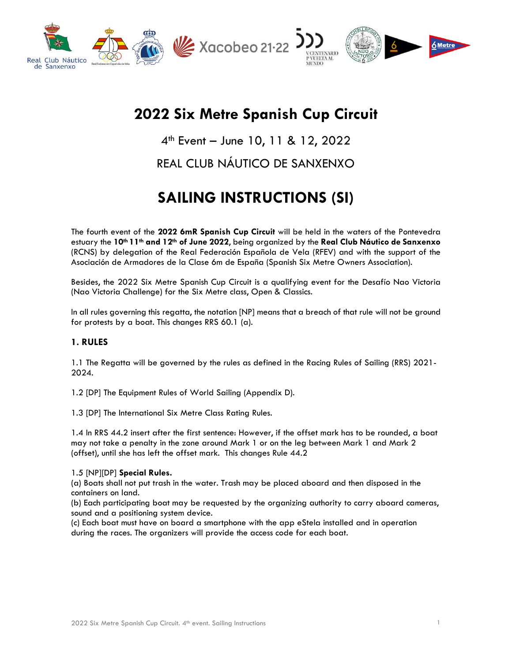

# **2022 Six Metre Spanish Cup Circuit**

4th Event – June 10, 11 & 12, 2022

## REAL CLUB NÁUTICO DE SANXENXO

# **SAILING INSTRUCTIONS (SI)**

The fourth event of the **2022 6mR Spanish Cup Circuit** will be held in the waters of the Pontevedra estuary the **10th 11th and 12th of June 2022**, being organized by the **Real Club Náutico de Sanxenxo** (RCNS) by delegation of the Real Federación Española de Vela (RFEV) and with the support of the Asociación de Armadores de la Clase 6m de España (Spanish Six Metre Owners Association).

Besides, the 2022 Six Metre Spanish Cup Circuit is a qualifying event for the Desafío Nao Victoria (Nao Victoria Challenge) for the Six Metre class, Open & Classics.

In all rules governing this regatta, the notation [NP] means that a breach of that rule will not be ground for protests by a boat. This changes RRS 60.1 (a).

#### **1. RULES**

1.1 The Regatta will be governed by the rules as defined in the Racing Rules of Sailing (RRS) 2021- 2024.

1.2 [DP] The Equipment Rules of World Sailing (Appendix D).

1.3 [DP] The International Six Metre Class Rating Rules.

1.4 In RRS 44.2 insert after the first sentence: However, if the offset mark has to be rounded, a boat may not take a penalty in the zone around Mark 1 or on the leg between Mark 1 and Mark 2 (offset), until she has left the offset mark. This changes Rule 44.2

#### 1.5 [NP][DP] **Special Rules.**

(a) Boats shall not put trash in the water. Trash may be placed aboard and then disposed in the containers on land.

(b) Each participating boat may be requested by the organizing authority to carry aboard cameras, sound and a positioning system device.

(c) Each boat must have on board a smartphone with the app eStela installed and in operation during the races. The organizers will provide the access code for each boat.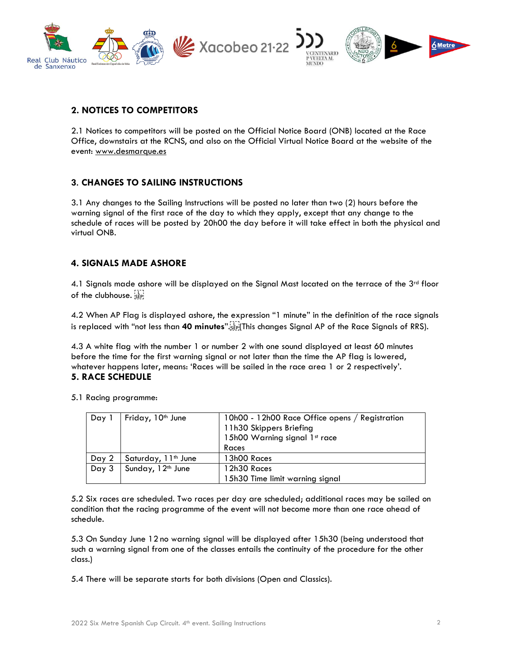

#### **2. NOTICES TO COMPETITORS**

2.1 Notices to competitors will be posted on the Official Notice Board (ONB) located at the Race Office, downstairs at the RCNS, and also on the Official Virtual Notice Board at the website of the event: [www.desmarque.es](http://www.desmarque.es/)

#### **3**. **CHANGES TO SAILING INSTRUCTIONS**

3.1 Any changes to the Sailing Instructions will be posted no later than two (2) hours before the warning signal of the first race of the day to which they apply, except that any change to the schedule of races will be posted by 20h00 the day before it will take effect in both the physical and virtual ONB.

#### **4. SIGNALS MADE ASHORE**

4.1 Signals made ashore will be displayed on the Signal Mast located on the terrace of the 3<sup>rd</sup> floor of the clubhouse.

4.2 When AP Flag is displayed ashore, the expression "1 minute" in the definition of the race signals is replaced with "not less than 40 minutes".<sup>[The</sup> This changes Signal AP of the Race Signals of RRS).

4.3 A white flag with the number 1 or number 2 with one sound displayed at least 60 minutes before the time for the first warning signal or not later than the time the AP flag is lowered, whatever happens later, means: 'Races will be sailed in the race area 1 or 2 respectively'. **5. RACE SCHEDULE**

5.1 Racing programme:

| Day   | Friday, 10 <sup>th</sup> June   | 10h00 - 12h00 Race Office opens / Registration<br>11h30 Skippers Briefing<br>15h00 Warning signal 1st race<br>Races |
|-------|---------------------------------|---------------------------------------------------------------------------------------------------------------------|
| Day 2 | Saturday, 11 <sup>th</sup> June | 13h00 Races                                                                                                         |
| Day 3 | Sunday, 12 <sup>th</sup> June   | 12h30 Races                                                                                                         |
|       |                                 | 15h30 Time limit warning signal                                                                                     |

5.2 Six races are scheduled. Two races per day are scheduled; additional races may be sailed on condition that the racing programme of the event will not become more than one race ahead of schedule.

5.3 On Sunday June 12 no warning signal will be displayed after 15h30 (being understood that such a warning signal from one of the classes entails the continuity of the procedure for the other class.)

5.4 There will be separate starts for both divisions (Open and Classics).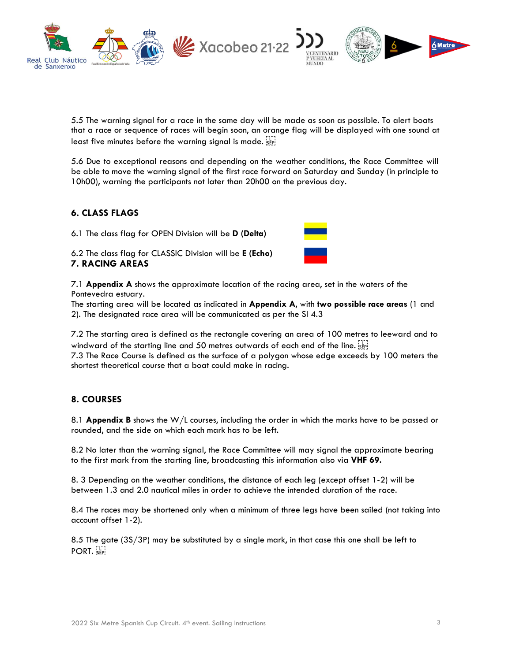

5.5 The warning signal for a race in the same day will be made as soon as possible. To alert boats that a race or sequence of races will begin soon, an orange flag will be displayed with one sound at least five minutes before the warning signal is made. see

5.6 Due to exceptional reasons and depending on the weather conditions, the Race Committee will be able to move the warning signal of the first race forward on Saturday and Sunday (in principle to 10h00), warning the participants not later than 20h00 on the previous day.

#### **6. CLASS FLAGS**

6.1 The class flag for OPEN Division will be **D (Delta)** 

6.2 The class flag for CLASSIC Division will be **E (Echo) 7. RACING AREAS**



7.1 **Appendix A** shows the approximate location of the racing area, set in the waters of the Pontevedra estuary.

The starting area will be located as indicated in **Appendix A**, with **two possible race areas** (1 and 2). The designated race area will be communicated as per the SI 4.3

7.2 The starting area is defined as the rectangle covering an area of 100 metres to leeward and to windward of the starting line and 50 metres outwards of each end of the line.

7.3 The Race Course is defined as the surface of a polygon whose edge exceeds by 100 meters the shortest theoretical course that a boat could make in racing.

#### **8. COURSES**

8.1 **Appendix B** shows the W/L courses, including the order in which the marks have to be passed or rounded, and the side on which each mark has to be left.

8.2 No later than the warning signal, the Race Committee will may signal the approximate bearing to the first mark from the starting line, broadcasting this information also via **VHF 69.** 

8. 3 Depending on the weather conditions, the distance of each leg (except offset 1-2) will be between 1.3 and 2.0 nautical miles in order to achieve the intended duration of the race.

8.4 The races may be shortened only when a minimum of three legs have been sailed (not taking into account offset 1-2).

8.5 The gate (3S/3P) may be substituted by a single mark, in that case this one shall be left to PORT.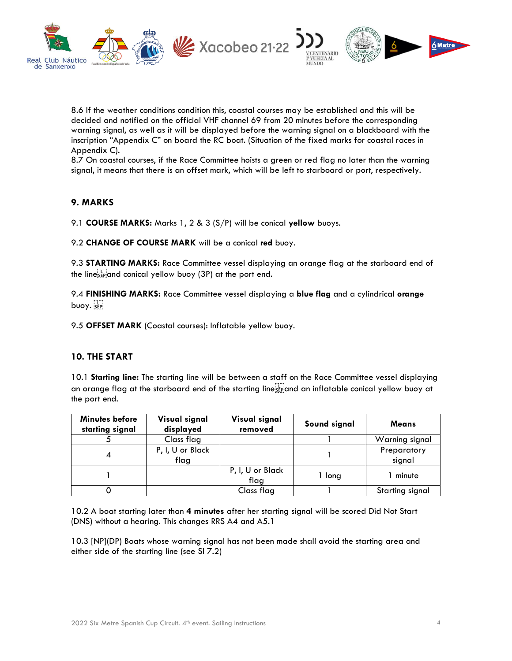

8.6 If the weather conditions condition this, coastal courses may be established and this will be decided and notified on the official VHF channel 69 from 20 minutes before the corresponding warning signal, as well as it will be displayed before the warning signal on a blackboard with the inscription "Appendix C" on board the RC boat. (Situation of the fixed marks for coastal races in Appendix C).

8.7 On coastal courses, if the Race Committee hoists a green or red flag no later than the warning signal, it means that there is an offset mark, which will be left to starboard or port, respectively.

#### **9. MARKS**

9.1 **COURSE MARKS:** Marks 1, 2 & 3 (S/P) will be conical **yellow** buoys.

9.2 **CHANGE OF COURSE MARK** will be a conical **red** buoy.

9.3 **STARTING MARKS:** Race Committee vessel displaying an orange flag at the starboard end of the linesse and conical yellow buoy (3P) at the port end.

9.4 **FINISHING MARKS:** Race Committee vessel displaying a **blue flag** and a cylindrical **orange** buoy. sepi

9.5 **OFFSET MARK** (Coastal courses): Inflatable yellow buoy.

#### **10. THE START**

10.1 **Starting line:** The starting line will be between a staff on the Race Committee vessel displaying an orange flag at the starboard end of the starting line  $\frac{1}{2}$  and an inflatable conical yellow buoy at the port end.

| Minutes before<br>starting signal | Visual signal<br>displayed | Visual signal<br>removed | Sound signal | <b>Means</b>          |
|-----------------------------------|----------------------------|--------------------------|--------------|-----------------------|
|                                   | Class flag                 |                          |              | Warning signal        |
|                                   | P, I, U or Black<br>flag   |                          |              | Preparatory<br>signal |
|                                   |                            | P, I, U or Black<br>flag | 1 long       | minute                |
|                                   |                            | Class flag               |              | Starting signal       |

10.2 A boat starting later than **4 minutes** after her starting signal will be scored Did Not Start (DNS) without a hearing. This changes RRS A4 and A5.1

10.3 [NP](DP) Boats whose warning signal has not been made shall avoid the starting area and either side of the starting line (see SI 7.2)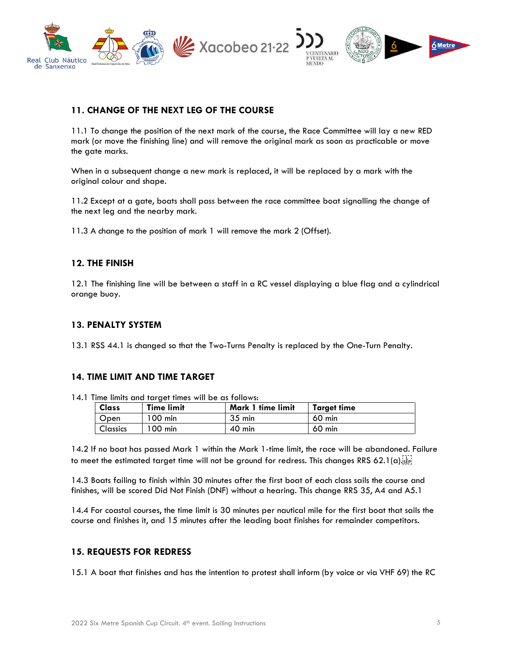

#### **11. CHANGE OF THE NEXT LEG OF THE COURSE**

11.1 To change the position of the next mark of the course, the Race Committee will lay a new RED mark (or move the finishing line) and will remove the original mark as soon as practicable or move the gate marks.

When in a subsequent change a new mark is replaced, it will be replaced by a mark with the original colour and shape.

11.2 Except at a gate, boats shall pass between the race committee boat signalling the change of the next leg and the nearby mark.

11.3 A change to the position of mark 1 will remove the mark 2 (Offset).

#### **12. THE FINISH**

12.1 The finishing line will be between a staff in a RC vessel displaying a blue flag and a cylindrical orange buoy.

#### **13. PENALTY SYSTEM**

13.1 RSS 44.1 is changed so that the Two-Turns Penalty is replaced by the One-Turn Penalty.

#### **14. TIME LIMIT AND TIME TARGET**

14.1 Time limits and target times will be as follows:

| <b>Class</b>    | <b>Time limit</b> | Mark 1 time limit | <b>Target time</b> |
|-----------------|-------------------|-------------------|--------------------|
| Open            | 100 min           | $35 \text{ min}$  | $60$ min           |
| <b>Classics</b> | $100$ min         | $40$ min          | $60$ min           |

14.2 If no boat has passed Mark 1 within the Mark 1-time limit, the race will be abandoned. Failure to meet the estimated target time will not be ground for redress. This changes RRS 62.1(a).

14.3 Boats failing to finish within 30 minutes after the first boat of each class sails the course and finishes, will be scored Did Not Finish (DNF) without a hearing. This change RRS 35, A4 and A5.1

14.4 For coastal courses, the time limit is 30 minutes per nautical mile for the first boat that sails the course and finishes it, and 15 minutes after the leading boat finishes for remainder competitors.

#### **15. REQUESTS FOR REDRESS**

15.1 A boat that finishes and has the intention to protest shall inform (by voice or via VHF 69) the RC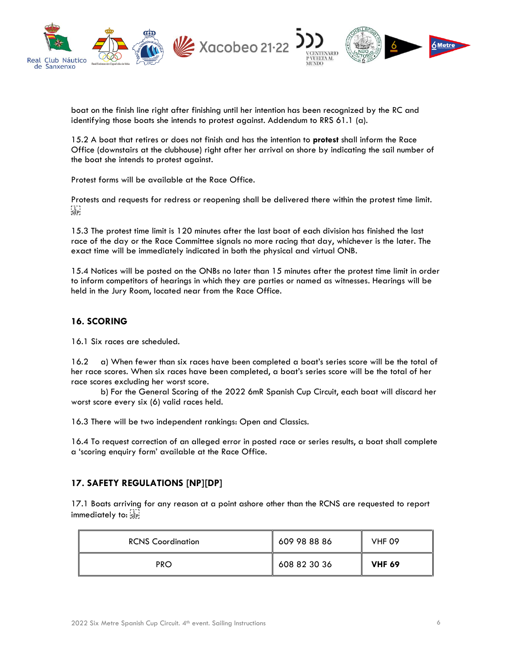

boat on the finish line right after finishing until her intention has been recognized by the RC and identifying those boats she intends to protest against. Addendum to RRS 61.1 (a).

15.2 A boat that retires or does not finish and has the intention to **protest** shall inform the Race Office (downstairs at the clubhouse) right after her arrival on shore by indicating the sail number of the boat she intends to protest against.

Protest forms will be available at the Race Office.

Protests and requests for redress or reopening shall be delivered there within the protest time limit.  $SEP$ 

15.3 The protest time limit is 120 minutes after the last boat of each division has finished the last race of the day or the Race Committee signals no more racing that day, whichever is the later. The exact time will be immediately indicated in both the physical and virtual ONB.

15.4 Notices will be posted on the ONBs no later than 15 minutes after the protest time limit in order to inform competitors of hearings in which they are parties or named as witnesses. Hearings will be held in the Jury Room, located near from the Race Office.

#### **16. SCORING**

16.1 Six races are scheduled.

16.2 a) When fewer than six races have been completed a boat's series score will be the total of her race scores. When six races have been completed, a boat's series score will be the total of her race scores excluding her worst score.

b) For the General Scoring of the 2022 6mR Spanish Cup Circuit, each boat will discard her worst score every six (6) valid races held.

16.3 There will be two independent rankings: Open and Classics.

16.4 To request correction of an alleged error in posted race or series results, a boat shall complete a 'scoring enquiry form' available at the Race Office.

#### **17. SAFETY REGULATIONS [NP][DP]**

17.1 Boats arriving for any reason at a point ashore other than the RCNS are requested to report immediately to:

| <b>RCNS Coordination</b> | 609 98 88 86 | <b>VHF 09</b> |
|--------------------------|--------------|---------------|
| <b>PRO</b>               | 608 82 30 36 | <b>VHF 69</b> |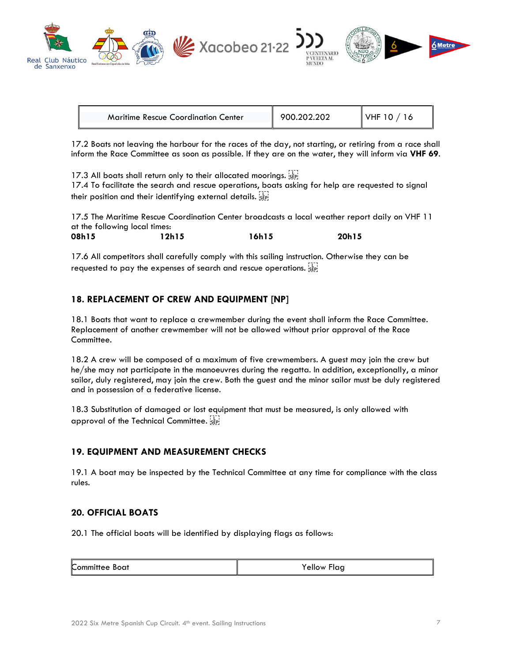

| <b>Maritime Rescue Coordination Center</b> | 900.202.202 | VHF $10/16$ |
|--------------------------------------------|-------------|-------------|

17.2 Boats not leaving the harbour for the races of the day, not starting, or retiring from a race shall inform the Race Committee as soon as possible. If they are on the water, they will inform via **VHF 69**.

17.3 All boats shall return only to their allocated moorings. see

17.4 To facilitate the search and rescue operations, boats asking for help are requested to signal their position and their identifying external details.

17.5 The Maritime Rescue Coordination Center broadcasts a local weather report daily on VHF 11 at the following local times: **08h15 12h15 16h15 20h15**

17.6 All competitors shall carefully comply with this sailing instruction. Otherwise they can be requested to pay the expenses of search and rescue operations.

#### **18. REPLACEMENT OF CREW AND EQUIPMENT [NP]**

18.1 Boats that want to replace a crewmember during the event shall inform the Race Committee. Replacement of another crewmember will not be allowed without prior approval of the Race Committee.

18.2 A crew will be composed of a maximum of five crewmembers. A guest may join the crew but he/she may not participate in the manoeuvres during the regatta. In addition, exceptionally, a minor sailor, duly registered, may join the crew. Both the guest and the minor sailor must be duly registered and in possession of a federative license.

18.3 Substitution of damaged or lost equipment that must be measured, is only allowed with approval of the Technical Committee.

#### **19. EQUIPMENT AND MEASUREMENT CHECKS**

19.1 A boat may be inspected by the Technical Committee at any time for compliance with the class rules.

#### **20. OFFICIAL BOATS**

20.1 The official boats will be identified by displaying flags as follows:

| .           | -     |
|-------------|-------|
| Boat        | ∽laa  |
| ∴ommittee ' | ellow |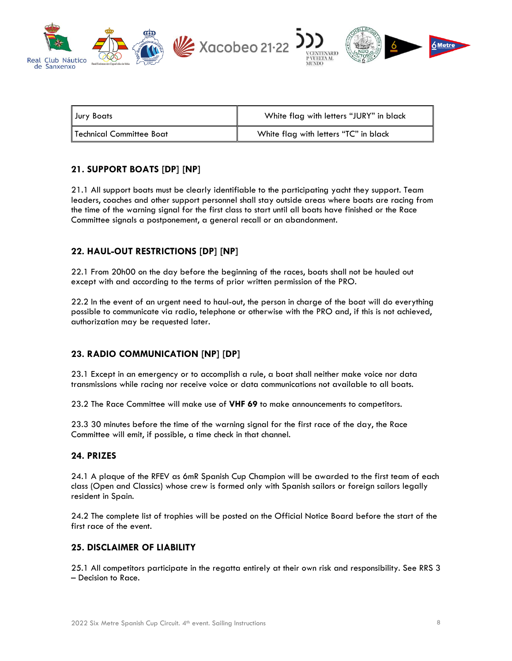

| Jury Boats               | White flag with letters "JURY" in black |
|--------------------------|-----------------------------------------|
| Technical Committee Boat | White flag with letters "TC" in black   |

#### **21. SUPPORT BOATS [DP] [NP]**

21.1 All support boats must be clearly identifiable to the participating yacht they support. Team leaders, coaches and other support personnel shall stay outside areas where boats are racing from the time of the warning signal for the first class to start until all boats have finished or the Race Committee signals a postponement, a general recall or an abandonment.

#### **22. HAUL-OUT RESTRICTIONS [DP] [NP]**

22.1 From 20h00 on the day before the beginning of the races, boats shall not be hauled out except with and according to the terms of prior written permission of the PRO.

22.2 In the event of an urgent need to haul-out, the person in charge of the boat will do everything possible to communicate via radio, telephone or otherwise with the PRO and, if this is not achieved, authorization may be requested later.

#### **23. RADIO COMMUNICATION [NP] [DP]**

23.1 Except in an emergency or to accomplish a rule, a boat shall neither make voice nor data transmissions while racing nor receive voice or data communications not available to all boats.

23.2 The Race Committee will make use of **VHF 69** to make announcements to competitors.

23.3 30 minutes before the time of the warning signal for the first race of the day, the Race Committee will emit, if possible, a time check in that channel.

#### **24. PRIZES**

24.1 A plaque of the RFEV as 6mR Spanish Cup Champion will be awarded to the first team of each class (Open and Classics) whose crew is formed only with Spanish sailors or foreign sailors legally resident in Spain.

24.2 The complete list of trophies will be posted on the Official Notice Board before the start of the first race of the event.

#### **25. DISCLAIMER OF LIABILITY**

25.1 All competitors participate in the regatta entirely at their own risk and responsibility. See RRS 3 – Decision to Race.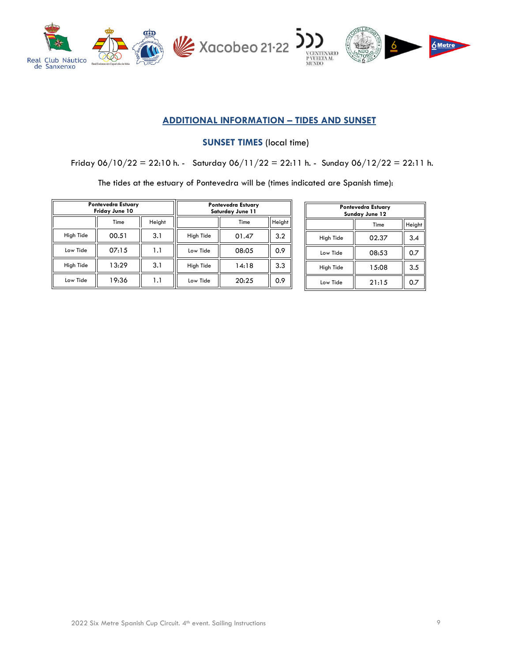

#### **ADDITIONAL INFORMATION – TIDES AND SUNSET**

**SUNSET TIMES** (local time)

Friday  $06/10/22 = 22:10$  h. - Saturday  $06/11/22 = 22:11$  h. - Sunday  $06/12/22 = 22:11$  h.

The tides at the estuary of Pontevedra will be (times indicated are Spanish time):

|           | Pontevedra Estuary<br>Friday June 10 |        |           | <b>Pontevedra Estuary</b><br>Saturday June 11 |        |
|-----------|--------------------------------------|--------|-----------|-----------------------------------------------|--------|
|           | Time                                 | Height |           | Time                                          | Height |
| High Tide | 00.51                                | 3.1    | High Tide | 01.47                                         | 3.2    |
| Low Tide  | 07:15                                | 1.1    | Low Tide  | 08:05                                         | 0.9    |
| High Tide | 13:29                                | 3.1    | High Tide | 14:18                                         | 3.3    |
| Low Tide  | 19:36                                | 1.1    | Low Tide  | 20:25                                         | 0.9    |

| Pontevedra Estuary<br>Sunday June 12 |       |     |  |
|--------------------------------------|-------|-----|--|
| Height<br>Time                       |       |     |  |
| High Tide                            | 02.37 | 3.4 |  |
| Low Tide                             | 08:53 | 0.7 |  |
| High Tide                            | 15:08 | 3.5 |  |
| Low Tide                             | 21:15 | 0.7 |  |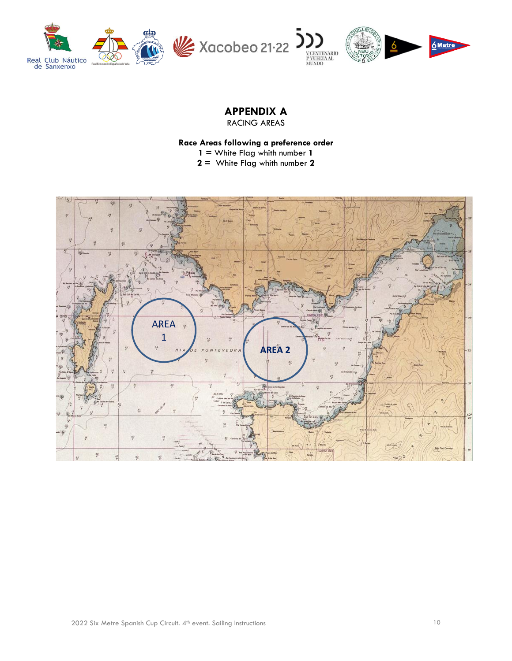

### **APPENDIX A**

RACING AREAS

#### **Race Areas following a preference order**

**1 =** White Flag whith number **1**

**2 =** White Flag whith number **2**

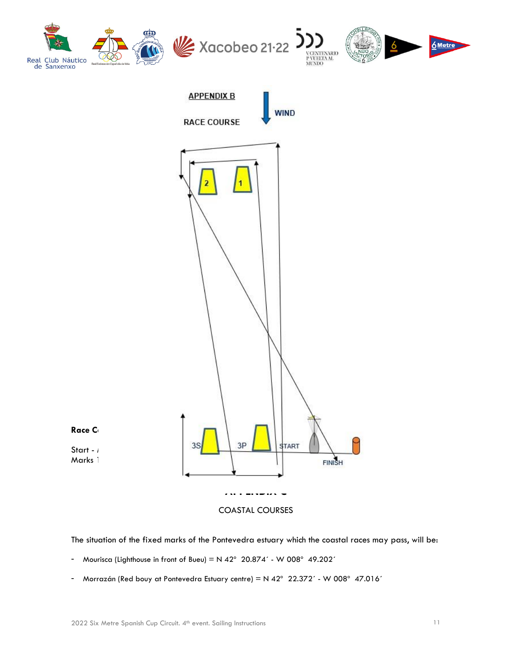

The situation of the fixed marks of the Pontevedra estuary which the coastal races may pass, will be:

- Mourisca (Lighthouse in front of Bueu) =  $N$  42° 20.874' W 008° 49.202'
- Morrazán (Red bouy at Pontevedra Estuary centre) = N 42° 22.372´ W 008° 47.016´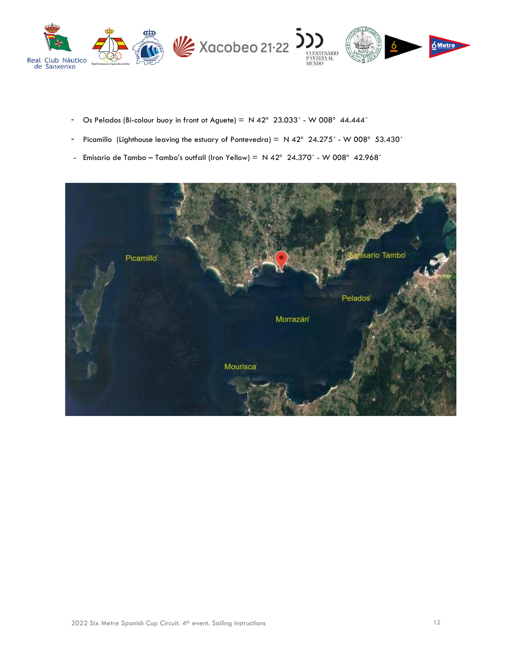

- Os Pelados (Bi-colour buoy in front ot Aguete) =  $N$  42° 23.033´ W 008° 44.444´
- Picamillo (Lighthouse leaving the estuary of Pontevedra) =  $N$  42° 24.275′ W 008° 53.430′
- Emisario de Tambo Tambo's outfall (Iron Yellow) =  $N$  42° 24.370´ W 008° 42.968´